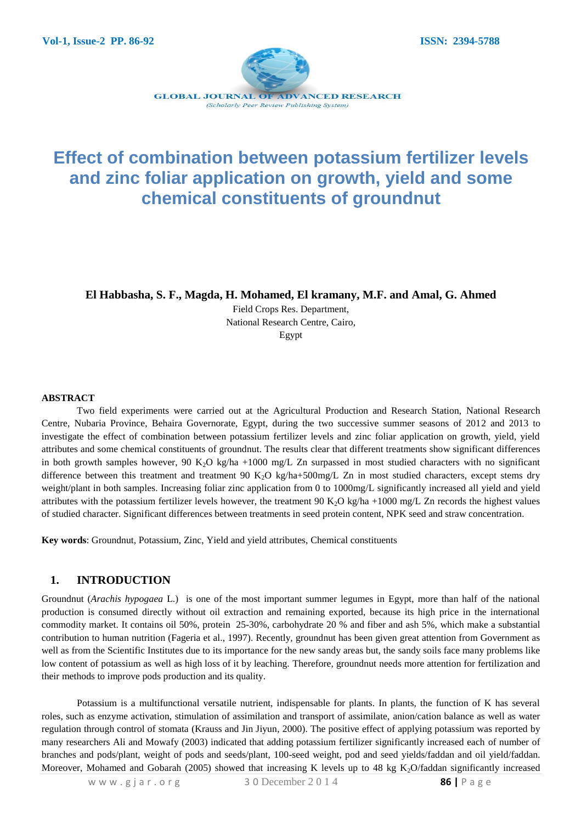

# **Effect of combination between potassium fertilizer levels and zinc foliar application on growth, yield and some chemical constituents of groundnut**

**El Habbasha, S. F., Magda, H. Mohamed, El kramany, M.F. and Amal, G. Ahmed**

Field Crops Res. Department, National Research Centre, Cairo, Egypt

#### **ABSTRACT**

Two field experiments were carried out at the Agricultural Production and Research Station, National Research Centre, Nubaria Province, Behaira Governorate, Egypt, during the two successive summer seasons of 2012 and 2013 to investigate the effect of combination between potassium fertilizer levels and zinc foliar application on growth, yield, yield attributes and some chemical constituents of groundnut. The results clear that different treatments show significant differences in both growth samples however, 90 K<sub>2</sub>O kg/ha +1000 mg/L Zn surpassed in most studied characters with no significant difference between this treatment and treatment 90 K<sub>2</sub>O kg/ha+500mg/L Zn in most studied characters, except stems dry weight/plant in both samples. Increasing foliar zinc application from 0 to 1000mg/L significantly increased all yield and yield attributes with the potassium fertilizer levels however, the treatment 90 K<sub>2</sub>O kg/ha +1000 mg/L Zn records the highest values of studied character. Significant differences between treatments in seed protein content, NPK seed and straw concentration.

**Key words**: Groundnut, Potassium, Zinc, Yield and yield attributes, Chemical constituents

#### **1. INTRODUCTION**

Groundnut (*Arachis hypogaea* L.) is one of the most important summer legumes in Egypt, more than half of the national production is consumed directly without oil extraction and remaining exported, because its high price in the international commodity market. It contains oil 50%, protein 25-30%, carbohydrate 20 % and fiber and ash 5%, which make a substantial contribution to human nutrition (Fageria et al., 1997). Recently, groundnut has been given great attention from Government as well as from the Scientific Institutes due to its importance for the new sandy areas but, the sandy soils face many problems like low content of potassium as well as high loss of it by leaching. Therefore, groundnut needs more attention for fertilization and their methods to improve pods production and its quality.

Potassium is a multifunctional versatile nutrient, indispensable for plants. In plants, the function of K has several roles, such as enzyme activation, stimulation of assimilation and transport of assimilate, anion/cation balance as well as water regulation through control of stomata (Krauss and Jin Jiyun, 2000). The positive effect of applying potassium was reported by many researchers Ali and Mowafy (2003) indicated that adding potassium fertilizer significantly increased each of number of branches and pods/plant, weight of pods and seeds/plant, 100-seed weight, pod and seed yields/faddan and oil yield/faddan. Moreover, Mohamed and Gobarah (2005) showed that increasing K levels up to 48 kg  $K<sub>2</sub>O/faddan$  significantly increased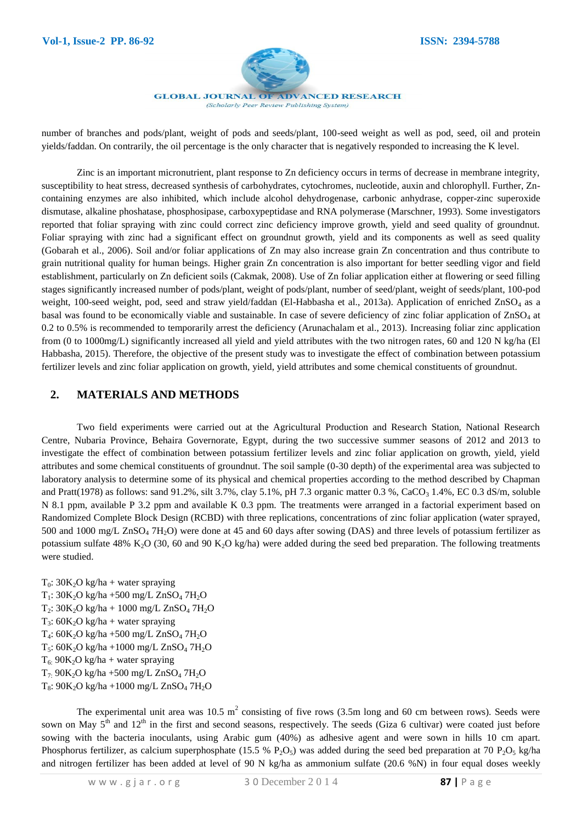

**GLOBAL JOURNAL OF ADVANCED RESEARCH** (Scholarly Peer Review Publishing System)

number of branches and pods/plant, weight of pods and seeds/plant, 100-seed weight as well as pod, seed, oil and protein yields/faddan. On contrarily, the oil percentage is the only character that is negatively responded to increasing the K level.

Zinc is an important micronutrient, plant response to Zn deficiency occurs in terms of decrease in membrane integrity, susceptibility to heat stress, decreased synthesis of carbohydrates, cytochromes, nucleotide, auxin and chlorophyll. Further, Zncontaining enzymes are also inhibited, which include alcohol dehydrogenase, carbonic anhydrase, copper-zinc superoxide dismutase, alkaline phoshatase, phosphosipase, carboxypeptidase and RNA polymerase (Marschner, 1993). Some investigators reported that foliar spraying with zinc could correct zinc deficiency improve growth, yield and seed quality of groundnut. Foliar spraying with zinc had a significant effect on groundnut growth, yield and its components as well as seed quality (Gobarah et al., 2006). Soil and/or foliar applications of Zn may also increase grain Zn concentration and thus contribute to grain nutritional quality for human beings. Higher grain Zn concentration is also important for better seedling vigor and field establishment, particularly on Zn deficient soils (Cakmak, 2008). Use of Zn foliar application either at flowering or seed filling stages significantly increased number of pods/plant, weight of pods/plant, number of seed/plant, weight of seeds/plant, 100-pod weight, 100-seed weight, pod, seed and straw yield/faddan (El-Habbasha et al., 2013a). Application of enriched ZnSO<sub>4</sub> as a basal was found to be economically viable and sustainable. In case of severe deficiency of zinc foliar application of ZnSO<sup>4</sup> at 0.2 to 0.5% is recommended to temporarily arrest the deficiency (Arunachalam et al., 2013). Increasing foliar zinc application from (0 to 1000mg/L) significantly increased all yield and yield attributes with the two nitrogen rates, 60 and 120 N kg/ha (El Habbasha, 2015). Therefore, the objective of the present study was to investigate the effect of combination between potassium fertilizer levels and zinc foliar application on growth, yield, yield attributes and some chemical constituents of groundnut.

### **2. MATERIALS AND METHODS**

Two field experiments were carried out at the Agricultural Production and Research Station, National Research Centre, Nubaria Province, Behaira Governorate, Egypt, during the two successive summer seasons of 2012 and 2013 to investigate the effect of combination between potassium fertilizer levels and zinc foliar application on growth, yield, yield attributes and some chemical constituents of groundnut. The soil sample (0-30 depth) of the experimental area was subjected to laboratory analysis to determine some of its physical and chemical properties according to the method described by Chapman and Pratt(1978) as follows: sand 91.2%, silt 3.7%, clay 5.1%, pH 7.3 organic matter 0.3 %, CaCO<sub>3</sub> 1.4%, EC 0.3 dS/m, soluble N 8.1 ppm, available P 3.2 ppm and available K 0.3 ppm. The treatments were arranged in a factorial experiment based on Randomized Complete Block Design (RCBD) with three replications, concentrations of zinc foliar application (water sprayed, 500 and 1000 mg/L  $\text{ZnSO}_4$  7H<sub>2</sub>O) were done at 45 and 60 days after sowing (DAS) and three levels of potassium fertilizer as potassium sulfate 48% K<sub>2</sub>O (30, 60 and 90 K<sub>2</sub>O kg/ha) were added during the seed bed preparation. The following treatments were studied.

 $T_0$ : 30K<sub>2</sub>O kg/ha + water spraying  $T_1$ : 30K<sub>2</sub>O kg/ha +500 mg/L ZnSO<sub>4</sub> 7H<sub>2</sub>O  $T_2$ : 30K<sub>2</sub>O kg/ha + 1000 mg/L ZnSO<sub>4</sub> 7H<sub>2</sub>O  $T_3$ : 60K<sub>2</sub>O kg/ha + water spraying T4: 60K2O kg/ha +500 mg/L ZnSO<sup>4</sup> 7H2O  $T_5$ : 60K<sub>2</sub>O kg/ha +1000 mg/L ZnSO<sub>4</sub> 7H<sub>2</sub>O  $T_6$ : 90K<sub>2</sub>O kg/ha + water spraying  $T_7$ : 90K<sub>2</sub>O kg/ha +500 mg/L ZnSO<sub>4</sub> 7H<sub>2</sub>O  $T_8$ : 90K<sub>2</sub>O kg/ha +1000 mg/L ZnSO<sub>4</sub> 7H<sub>2</sub>O

The experimental unit area was 10.5  $m^2$  consisting of five rows (3.5m long and 60 cm between rows). Seeds were sown on May  $5<sup>th</sup>$  and  $12<sup>th</sup>$  in the first and second seasons, respectively. The seeds (Giza 6 cultivar) were coated just before sowing with the bacteria inoculants, using Arabic gum (40%) as adhesive agent and were sown in hills 10 cm apart. Phosphorus fertilizer, as calcium superphosphate (15.5 %  $P_2O_5$ ) was added during the seed bed preparation at 70  $P_2O_5$  kg/ha and nitrogen fertilizer has been added at level of 90 N kg/ha as ammonium sulfate (20.6 %N) in four equal doses weekly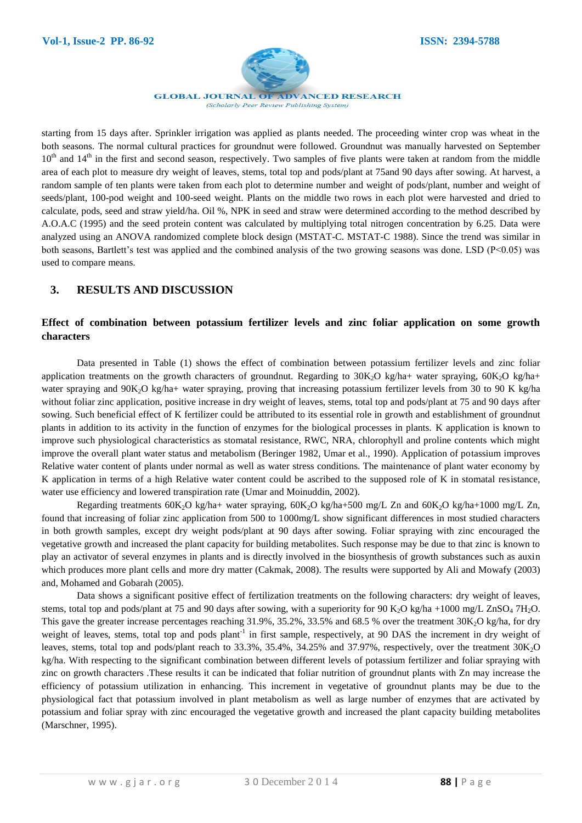

**GLOBAL JOURNAL OF ADVANCED RESEARCH** (Scholarly Peer Review Publishing System)

starting from 15 days after. Sprinkler irrigation was applied as plants needed. The proceeding winter crop was wheat in the both seasons. The normal cultural practices for groundnut were followed. Groundnut was manually harvested on September  $10<sup>th</sup>$  and  $14<sup>th</sup>$  in the first and second season, respectively. Two samples of five plants were taken at random from the middle area of each plot to measure dry weight of leaves, stems, total top and pods/plant at 75and 90 days after sowing. At harvest, a random sample of ten plants were taken from each plot to determine number and weight of pods/plant, number and weight of seeds/plant, 100-pod weight and 100-seed weight. Plants on the middle two rows in each plot were harvested and dried to calculate, pods, seed and straw yield/ha. Oil %, NPK in seed and straw were determined according to the method described by A.O.A.C (1995) and the seed protein content was calculated by multiplying total nitrogen concentration by 6.25. Data were analyzed using an ANOVA randomized complete block design (MSTAT-C. MSTAT-C 1988). Since the trend was similar in both seasons, Bartlett's test was applied and the combined analysis of the two growing seasons was done. LSD ( $P<0.05$ ) was used to compare means.

## **3. RESULTS AND DISCUSSION**

### **Effect of combination between potassium fertilizer levels and zinc foliar application on some growth characters**

Data presented in Table (1) shows the effect of combination between potassium fertilizer levels and zinc foliar application treatments on the growth characters of groundnut. Regarding to  $30K<sub>2</sub>O$  kg/ha+ water spraying,  $60K<sub>2</sub>O$  kg/ha+ water spraying and 90K<sub>2</sub>O kg/ha+ water spraying, proving that increasing potassium fertilizer levels from 30 to 90 K kg/ha without foliar zinc application, positive increase in dry weight of leaves, stems, total top and pods/plant at 75 and 90 days after sowing. Such beneficial effect of K fertilizer could be attributed to its essential role in growth and establishment of groundnut plants in addition to its activity in the function of enzymes for the biological processes in plants. K application is known to improve such physiological characteristics as stomatal resistance, RWC, NRA, chlorophyll and proline contents which might improve the overall plant water status and metabolism (Beringer 1982, Umar et al., 1990). Application of potassium improves Relative water content of plants under normal as well as water stress conditions. The maintenance of plant water economy by K application in terms of a high Relative water content could be ascribed to the supposed role of K in stomatal resistance, water use efficiency and lowered transpiration rate (Umar and Moinuddin, 2002).

Regarding treatments  $60K_2O$  kg/ha+ water spraying,  $60K_2O$  kg/ha+500 mg/L Zn and  $60K_2O$  kg/ha+1000 mg/L Zn, found that increasing of foliar zinc application from 500 to 1000mg/L show significant differences in most studied characters in both growth samples, except dry weight pods/plant at 90 days after sowing. Foliar spraying with zinc encouraged the vegetative growth and increased the plant capacity for building metabolites. Such response may be due to that zinc is known to play an activator of several enzymes in plants and is directly involved in the biosynthesis of growth substances such as auxin which produces more plant cells and more dry matter (Cakmak, 2008). The results were supported by Ali and Mowafy (2003) and, Mohamed and Gobarah (2005).

Data shows a significant positive effect of fertilization treatments on the following characters: dry weight of leaves, stems, total top and pods/plant at 75 and 90 days after sowing, with a superiority for 90 K<sub>2</sub>O kg/ha +1000 mg/L ZnSO<sub>4</sub> 7H<sub>2</sub>O. This gave the greater increase percentages reaching  $31.9\%$ ,  $35.2\%$ ,  $33.5\%$  and  $68.5\%$  over the treatment  $30K<sub>2</sub>O$  kg/ha, for dry weight of leaves, stems, total top and pods plant<sup>-1</sup> in first sample, respectively, at 90 DAS the increment in dry weight of leaves, stems, total top and pods/plant reach to 33.3%, 35.4%, 34.25% and 37.97%, respectively, over the treatment 30K<sub>2</sub>O kg/ha. With respecting to the significant combination between different levels of potassium fertilizer and foliar spraying with zinc on growth characters .These results it can be indicated that foliar nutrition of groundnut plants with Zn may increase the efficiency of potassium utilization in enhancing. This increment in vegetative of groundnut plants may be due to the physiological fact that potassium involved in plant metabolism as well as large number of enzymes that are activated by potassium and foliar spray with zinc encouraged the vegetative growth and increased the plant capacity building metabolites (Marschner, 1995).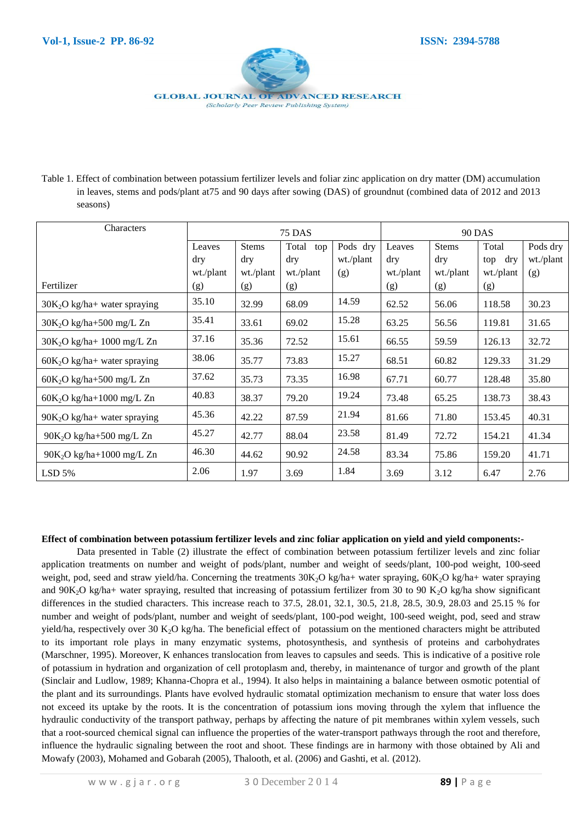

Table 1. Effect of combination between potassium fertilizer levels and foliar zinc application on dry matter (DM) accumulation in leaves, stems and pods/plant at75 and 90 days after sowing (DAS) of groundnut (combined data of 2012 and 2013 seasons)

| <b>Characters</b>             | <b>75 DAS</b> |           |              |           | <b>90 DAS</b> |            |           |           |
|-------------------------------|---------------|-----------|--------------|-----------|---------------|------------|-----------|-----------|
|                               | Leaves        | Stems     | Total<br>top | Pods dry  | Leaves        | Stems      | Total     | Pods dry  |
|                               | dry           | dry       | dry          | wt./plant | $\rm{d}$ ry   | $\rm{dry}$ | top dry   | wt./plant |
|                               | wt./plant     | wt./plant | wt./plant    | (g)       | wt./plant     | wt./plant  | wt./plant | (g)       |
| Fertilizer                    | (g)           | (g)       | (g)          |           | (g)           | (g)        | (g)       |           |
| $30K2O$ kg/ha+ water spraying | 35.10         | 32.99     | 68.09        | 14.59     | 62.52         | 56.06      | 118.58    | 30.23     |
| $30K2O$ kg/ha+500 mg/L Zn     | 35.41         | 33.61     | 69.02        | 15.28     | 63.25         | 56.56      | 119.81    | 31.65     |
| $30K_2O$ kg/ha+ 1000 mg/L Zn  | 37.16         | 35.36     | 72.52        | 15.61     | 66.55         | 59.59      | 126.13    | 32.72     |
| $60K2O$ kg/ha+ water spraying | 38.06         | 35.77     | 73.83        | 15.27     | 68.51         | 60.82      | 129.33    | 31.29     |
| $60K2O$ kg/ha+500 mg/L Zn     | 37.62         | 35.73     | 73.35        | 16.98     | 67.71         | 60.77      | 128.48    | 35.80     |
| $60K2O$ kg/ha+1000 mg/L Zn    | 40.83         | 38.37     | 79.20        | 19.24     | 73.48         | 65.25      | 138.73    | 38.43     |
| $90K2O$ kg/ha+ water spraying | 45.36         | 42.22     | 87.59        | 21.94     | 81.66         | 71.80      | 153.45    | 40.31     |
| $90K2O$ kg/ha+500 mg/L Zn     | 45.27         | 42.77     | 88.04        | 23.58     | 81.49         | 72.72      | 154.21    | 41.34     |
| $90K_2O$ kg/ha+1000 mg/L Zn   | 46.30         | 44.62     | 90.92        | 24.58     | 83.34         | 75.86      | 159.20    | 41.71     |
| $LSD$ 5%                      | 2.06          | 1.97      | 3.69         | 1.84      | 3.69          | 3.12       | 6.47      | 2.76      |

#### **Effect of combination between potassium fertilizer levels and zinc foliar application on yield and yield components:-**

Data presented in Table (2) illustrate the effect of combination between potassium fertilizer levels and zinc foliar application treatments on number and weight of pods/plant, number and weight of seeds/plant, 100-pod weight, 100-seed weight, pod, seed and straw yield/ha. Concerning the treatments  $30K<sub>2</sub>O$  kg/ha+ water spraying,  $60K<sub>2</sub>O$  kg/ha+ water spraying and  $90K_2O$  kg/ha+ water spraying, resulted that increasing of potassium fertilizer from 30 to 90 K<sub>2</sub>O kg/ha show significant differences in the studied characters. This increase reach to 37.5, 28.01, 32.1, 30.5, 21.8, 28.5, 30.9, 28.03 and 25.15 % for number and weight of pods/plant, number and weight of seeds/plant, 100-pod weight, 100-seed weight, pod, seed and straw yield/ha, respectively over 30 K<sub>2</sub>O kg/ha. The beneficial effect of potassium on the mentioned characters might be attributed to its important role plays in many enzymatic systems, photosynthesis, and synthesis of proteins and carbohydrates (Marschner, 1995). Moreover, K enhances translocation from leaves to capsules and seeds. This is indicative of a positive role of potassium in hydration and organization of cell protoplasm and, thereby, in maintenance of turgor and growth of the plant (Sinclair and Ludlow, 1989; Khanna-Chopra et al., 1994). It also helps in maintaining a balance between osmotic potential of the plant and its surroundings. Plants have evolved hydraulic stomatal optimization mechanism to ensure that water loss does not exceed its uptake by the roots. It is the concentration of potassium ions moving through the xylem that influence the hydraulic conductivity of the transport pathway, perhaps by affecting the nature of pit membranes within xylem vessels, such that a root-sourced chemical signal can influence the properties of the water-transport pathways through the root and therefore, influence the hydraulic signaling between the root and shoot. These findings are in harmony with those obtained by Ali and Mowafy (2003), Mohamed and Gobarah (2005), Thalooth, et al. (2006) and Gashti, et al. (2012).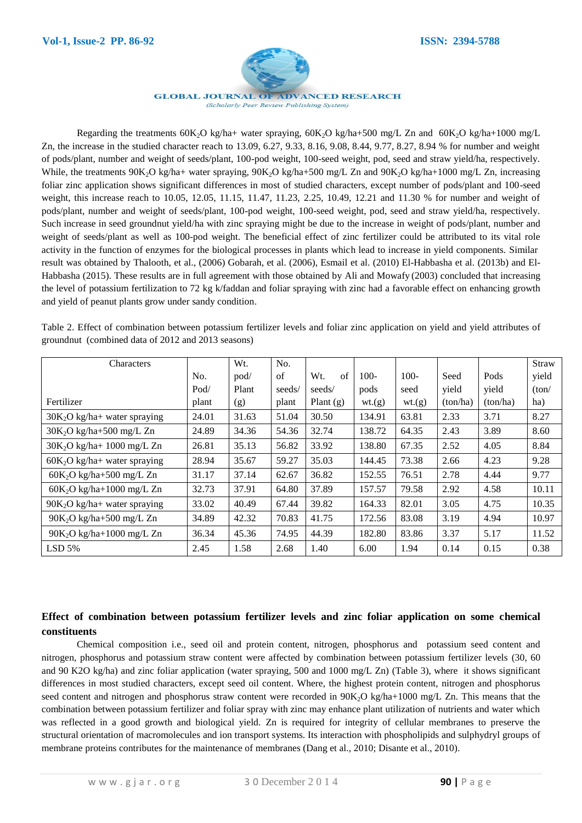

**GLOBAL JOURNAL OF ADVANCED RESEARCH** (Scholarly Peer Review Publishing System)

Regarding the treatments  $60K_2O$  kg/ha+ water spraying,  $60K_2O$  kg/ha+500 mg/L Zn and  $60K_2O$  kg/ha+1000 mg/L Zn, the increase in the studied character reach to 13.09, 6.27, 9.33, 8.16, 9.08, 8.44, 9.77, 8.27, 8.94 % for number and weight of pods/plant, number and weight of seeds/plant, 100-pod weight, 100-seed weight, pod, seed and straw yield/ha, respectively. While, the treatments  $90K_2O$  kg/ha+ water spraying,  $90K_2O$  kg/ha+500 mg/L Zn and  $90K_2O$  kg/ha+1000 mg/L Zn, increasing foliar zinc application shows significant differences in most of studied characters, except number of pods/plant and 100-seed weight, this increase reach to 10.05, 12.05, 11.15, 11.47, 11.23, 2.25, 10.49, 12.21 and 11.30 % for number and weight of pods/plant, number and weight of seeds/plant, 100-pod weight, 100-seed weight, pod, seed and straw yield/ha, respectively. Such increase in seed groundnut yield/ha with zinc spraying might be due to the increase in weight of pods/plant, number and weight of seeds/plant as well as 100-pod weight. The beneficial effect of zinc fertilizer could be attributed to its vital role activity in the function of enzymes for the biological processes in plants which lead to increase in yield components. Similar result was obtained by Thalooth, et al., (2006) Gobarah, et al. (2006), Esmail et al. (2010) El-Habbasha et al. (2013b) and El-Habbasha (2015). These results are in full agreement with those obtained by Ali and Mowafy (2003) concluded that increasing the level of potassium fertilization to 72 kg k/faddan and foliar spraying with zinc had a favorable effect on enhancing growth and yield of peanut plants grow under sandy condition.

Table 2. Effect of combination between potassium fertilizer levels and foliar zinc application on yield and yield attributes of groundnut (combined data of 2012 and 2013 seasons)

| Characters                     |       | Wt.   | No.    |             |        |         |          |          | Straw |
|--------------------------------|-------|-------|--------|-------------|--------|---------|----------|----------|-------|
|                                | No.   | pod/  | of     | of<br>Wt.   | $100-$ | $100 -$ | Seed     | Pods     | yield |
|                                | Pod/  | Plant | seeds/ | seeds/      | pods   | seed    | yield    | yield    | (ton/ |
| Fertilizer                     | plant | (g)   | plant  | Plant $(g)$ | wt(g)  | wt(g)   | (ton/ha) | (ton/ha) | ha)   |
| $30K2O$ kg/ha+ water spraying  | 24.01 | 31.63 | 51.04  | 30.50       | 134.91 | 63.81   | 2.33     | 3.71     | 8.27  |
| $30K_2O$ kg/ha+500 mg/L Zn     | 24.89 | 34.36 | 54.36  | 32.74       | 138.72 | 64.35   | 2.43     | 3.89     | 8.60  |
| $30K2O$ kg/ha+ 1000 mg/L Zn    | 26.81 | 35.13 | 56.82  | 33.92       | 138.80 | 67.35   | 2.52     | 4.05     | 8.84  |
| $60K_2O$ kg/ha+ water spraying | 28.94 | 35.67 | 59.27  | 35.03       | 144.45 | 73.38   | 2.66     | 4.23     | 9.28  |
| $60K2O$ kg/ha+500 mg/L Zn      | 31.17 | 37.14 | 62.67  | 36.82       | 152.55 | 76.51   | 2.78     | 4.44     | 9.77  |
| $60K2O$ kg/ha+1000 mg/L Zn     | 32.73 | 37.91 | 64.80  | 37.89       | 157.57 | 79.58   | 2.92     | 4.58     | 10.11 |
| $90K2O$ kg/ha+ water spraying  | 33.02 | 40.49 | 67.44  | 39.82       | 164.33 | 82.01   | 3.05     | 4.75     | 10.35 |
| $90K_2O$ kg/ha+500 mg/L Zn     | 34.89 | 42.32 | 70.83  | 41.75       | 172.56 | 83.08   | 3.19     | 4.94     | 10.97 |
| $90K2O$ kg/ha+1000 mg/L Zn     | 36.34 | 45.36 | 74.95  | 44.39       | 182.80 | 83.86   | 3.37     | 5.17     | 11.52 |
| $LSD$ 5%                       | 2.45  | 1.58  | 2.68   | 1.40        | 6.00   | 1.94    | 0.14     | 0.15     | 0.38  |

### **Effect of combination between potassium fertilizer levels and zinc foliar application on some chemical constituents**

Chemical composition i.e., seed oil and protein content, nitrogen, phosphorus and potassium seed content and nitrogen, phosphorus and potassium straw content were affected by combination between potassium fertilizer levels (30, 60 and 90 K2O kg/ha) and zinc foliar application (water spraying, 500 and 1000 mg/L Zn) (Table 3), where it shows significant differences in most studied characters, except seed oil content. Where, the highest protein content, nitrogen and phosphorus seed content and nitrogen and phosphorus straw content were recorded in  $90K<sub>2</sub>O$  kg/ha+1000 mg/L Zn. This means that the combination between potassium fertilizer and foliar spray with zinc may enhance plant utilization of nutrients and water which was reflected in a good growth and biological yield. Zn is required for integrity of cellular membranes to preserve the structural orientation of macromolecules and ion transport systems. Its interaction with phospholipids and sulphydryl groups of membrane proteins contributes for the maintenance of membranes (Dang et al., 2010; Disante et al., 2010).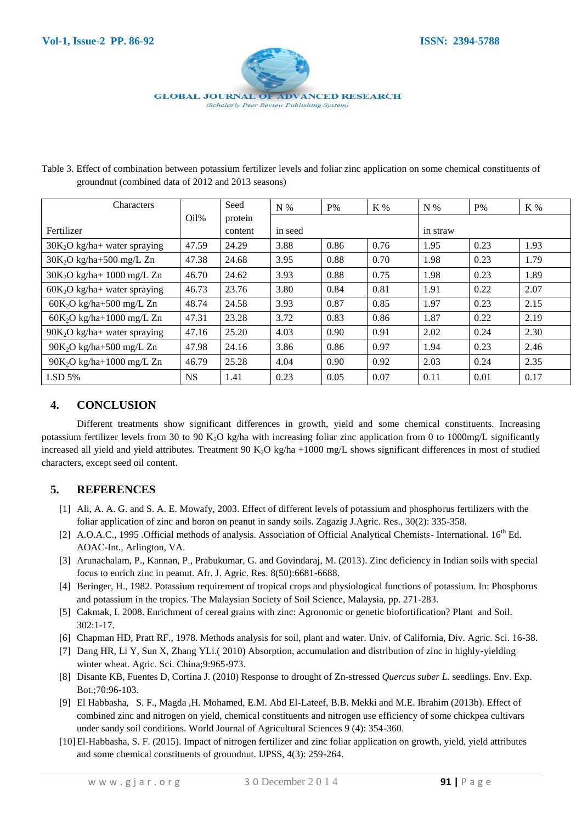

Table 3. Effect of combination between potassium fertilizer levels and foliar zinc application on some chemical constituents of groundnut (combined data of 2012 and 2013 seasons)

| Characters                     |           | Seed    | $N\%$   | $P\%$ | K %  | $N\%$    | $P\%$ | K %  |  |
|--------------------------------|-----------|---------|---------|-------|------|----------|-------|------|--|
|                                | $Oil\%$   | protein |         |       |      |          |       |      |  |
| Fertilizer                     |           | content | in seed |       |      | in straw |       |      |  |
| $30K2O$ kg/ha+ water spraying  | 47.59     | 24.29   | 3.88    | 0.86  | 0.76 | 1.95     | 0.23  | 1.93 |  |
| $30K2O$ kg/ha+500 mg/L Zn      | 47.38     | 24.68   | 3.95    | 0.88  | 0.70 | 1.98     | 0.23  | 1.79 |  |
| $30K2O$ kg/ha+ 1000 mg/L Zn    | 46.70     | 24.62   | 3.93    | 0.88  | 0.75 | 1.98     | 0.23  | 1.89 |  |
| $60K2O$ kg/ha+ water spraying  | 46.73     | 23.76   | 3.80    | 0.84  | 0.81 | 1.91     | 0.22  | 2.07 |  |
| $60K_2O$ kg/ha+500 mg/L Zn     | 48.74     | 24.58   | 3.93    | 0.87  | 0.85 | 1.97     | 0.23  | 2.15 |  |
| $60K2O$ kg/ha+1000 mg/L Zn     | 47.31     | 23.28   | 3.72    | 0.83  | 0.86 | 1.87     | 0.22  | 2.19 |  |
| $90K_2O$ kg/ha+ water spraying | 47.16     | 25.20   | 4.03    | 0.90  | 0.91 | 2.02     | 0.24  | 2.30 |  |
| $90K_2O$ kg/ha+500 mg/L Zn     | 47.98     | 24.16   | 3.86    | 0.86  | 0.97 | 1.94     | 0.23  | 2.46 |  |
| $90K2O$ kg/ha+1000 mg/L Zn     | 46.79     | 25.28   | 4.04    | 0.90  | 0.92 | 2.03     | 0.24  | 2.35 |  |
| $LSD$ 5%                       | <b>NS</b> | 1.41    | 0.23    | 0.05  | 0.07 | 0.11     | 0.01  | 0.17 |  |

## **4. CONCLUSION**

Different treatments show significant differences in growth, yield and some chemical constituents. Increasing potassium fertilizer levels from 30 to 90 K<sub>2</sub>O kg/ha with increasing foliar zinc application from 0 to 1000mg/L significantly increased all yield and yield attributes. Treatment 90 K<sub>2</sub>O kg/ha +1000 mg/L shows significant differences in most of studied characters, except seed oil content.

### **5. REFERENCES**

- [1] Ali, A. A. G. and S. A. E. Mowafy, 2003. Effect of different levels of potassium and phosphorus fertilizers with the foliar application of zinc and boron on peanut in sandy soils. Zagazig J.Agric. Res., 30(2): 335-358.
- [2] A.O.A.C., 1995 .Official methods of analysis. Association of Official Analytical Chemists- International. 16<sup>th</sup> Ed. AOAC-Int., Arlington, VA.
- [3] Arunachalam, P., Kannan, P., Prabukumar, G. and Govindaraj, M. (2013). Zinc deficiency in Indian soils with special focus to enrich zinc in peanut. Afr. J. Agric. Res. 8(50):6681-6688.
- [4] Beringer, H., 1982. Potassium requirement of tropical crops and physiological functions of potassium. In: Phosphorus and potassium in the tropics. The Malaysian Society of Soil Science, Malaysia, pp. 271-283.
- [5] Cakmak, I. 2008. Enrichment of cereal grains with zinc: Agronomic or genetic biofortification? Plant and Soil. 302:1-17.
- [6] Chapman HD, Pratt RF., 1978. Methods analysis for soil, plant and water. Univ. of California, Div. Agric. Sci. 16-38.
- [7] Dang HR, Li Y, Sun X, Zhang YLi.( 2010) Absorption, accumulation and distribution of zinc in highly-yielding winter wheat. Agric. Sci. China;9:965-973.
- [8] Disante KB, Fuentes D, Cortina J. (2010) Response to drought of Zn-stressed *Quercus suber L.* seedlings. Env. Exp. Bot.;70:96-103.
- [9] El Habbasha, S. F., Magda ,H. Mohamed, E.M. Abd El-Lateef, B.B. Mekki and M.E. Ibrahim (2013b). Effect of combined zinc and nitrogen on yield, chemical constituents and nitrogen use efficiency of some chickpea cultivars under sandy soil conditions. World Journal of Agricultural Sciences 9 (4): 354-360.
- [10]El-Habbasha, S. F. (2015). Impact of nitrogen fertilizer and zinc foliar application on growth, yield, yield attributes and some chemical constituents of groundnut. IJPSS, 4(3): 259-264.